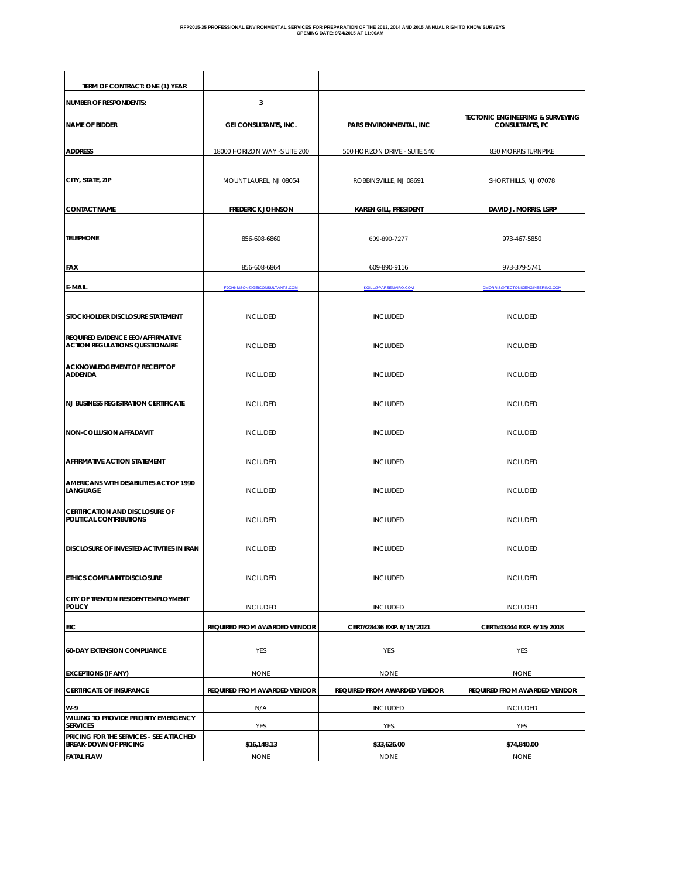| TERM OF CONTRACT: ONE (1) YEAR                                              |                                     |                               |                                                                       |
|-----------------------------------------------------------------------------|-------------------------------------|-------------------------------|-----------------------------------------------------------------------|
| <b>NUMBER OF RESPONDENTS:</b>                                               | 3                                   |                               |                                                                       |
| <b>NAME OF BIDDER</b>                                                       | <b>GEI CONSULTANTS, INC.</b>        | PARS ENVIRONMENTAL, INC       | <b>TECTONIC ENGINEERING &amp; SURVEYING</b><br><b>CONSULTANTS, PC</b> |
| <b>ADDRESS</b>                                                              | 18000 HORIZON WAY -S UITE 200       | 500 HORIZON DRIVE - SUITE 540 | 830 MORRIS TURNPIKE                                                   |
| CITY, STATE, ZIP                                                            | MOUNT LAUREL, NJ 08054              | ROBBINSVILLE, NJ 08691        | SHORT HILLS, NJ 07078                                                 |
| <b>CONTACT NAME</b>                                                         | <b>FREDERICK JOHNSON</b>            | <b>KAREN GILL, PRESIDENT</b>  | DAVID J. MORRIS, LSRP                                                 |
| <b>TELEPHONE</b>                                                            | 856-608-6860                        | 609-890-7277                  | 973-467-5850                                                          |
| <b>FAX</b>                                                                  | 856-608-6864                        | 609-890-9116                  | 973-379-5741                                                          |
| <b>E-MAIL</b>                                                               | <b>EJOHNMSON@GEICONSULTANTS.COM</b> | <b>KGILL@PARSENVIRO.COM</b>   | <b>DMORRIS@TECTONICENGINEERING.COM</b>                                |
| STOCKHOLDER DISCLOSURE STATEMENT                                            | <b>INCLUDED</b>                     | <b>INCLUDED</b>               | <b>INCLUDED</b>                                                       |
| REQUIRED EVIDENCE EEO/AFFIRMATIVE<br><b>ACTION REGULATIONS QUESTIONAIRE</b> | <b>INCLUDED</b>                     | <b>INCLUDED</b>               | <b>INCLUDED</b>                                                       |
| ACKNOWLEDGEMENT OF RECEIPT OF<br><b>ADDENDA</b>                             | <b>INCLUDED</b>                     | <b>INCLUDED</b>               | <b>INCLUDED</b>                                                       |
| <b>NJ BUSINESS REGISTRATION CERTIFICATE</b>                                 | <b>INCLUDED</b>                     | <b>INCLUDED</b>               | <b>INCLUDED</b>                                                       |
| NON-COLLUSION AFFADAVIT                                                     | <b>INCLUDED</b>                     | <b>INCLUDED</b>               | <b>INCLUDED</b>                                                       |
| AFFIRMATIVE ACTION STATEMENT                                                | <b>INCLUDED</b>                     | <b>INCLUDED</b>               | <b>INCLUDED</b>                                                       |
| AMERICANS WITH DISABILITIES ACT OF 1990<br>LANGUAGE                         | <b>INCLUDED</b>                     | <b>INCLUDED</b>               | <b>INCLUDED</b>                                                       |
| <b>CERTIFICATION AND DISCLOSURE OF</b><br>POLITICAL CONTRIBUTIONS           | <b>INCLUDED</b>                     | <b>INCLUDED</b>               | <b>INCLUDED</b>                                                       |
| DISCLOSURE OF INVESTED ACTIVITIES IN IRAN                                   | <b>INCLUDED</b>                     | <b>INCLUDED</b>               | <b>INCLUDED</b>                                                       |
| ETHICS COMPLAINT DISCLOSURE                                                 | <b>INCLUDED</b>                     | <b>INCLUDED</b>               | <b>INCLUDED</b>                                                       |
| CITY OF TRENTON RESIDENT EMPLOYMENT<br><b>POLICY</b>                        | <b>INCLUDED</b>                     | <b>INCLUDED</b>               | <b>INCLUDED</b>                                                       |
| EIC                                                                         | <b>REQUIRED FROM AWARDED VENDOR</b> | CERT#28436 EXP. 6/15/2021     | CERT#43444 EXP. 6/15/2018                                             |
| <b>60-DAY EXTENSION COMPLIANCE</b>                                          | YES                                 | YES                           | YES                                                                   |
| <b>EXCEPTIONS (IF ANY)</b>                                                  | <b>NONE</b>                         | <b>NONE</b>                   | <b>NONE</b>                                                           |
| <b>CERTIFICATE OF INSURANCE</b>                                             | <b>REQUIRED FROM AWARDED VENDOR</b> | REQUIRED FROM AWARDED VENDOR  | REQUIRED FROM AWARDED VENDOR                                          |
| W-9                                                                         | N/A                                 | <b>INCLUDED</b>               | <b>INCLUDED</b>                                                       |
| WILLING TO PROVIDE PRIORITY EMERGENCY<br><b>SERVICES</b>                    | YES                                 | YES                           | YES                                                                   |
| PRICING FOR THE SERVICES - SEE ATTACHED<br><b>BREAK-DOWN OF PRICING</b>     | \$16,148.13                         | \$33,626.00                   | \$74,840.00                                                           |
| <b>FATAL FLAW</b>                                                           | <b>NONE</b>                         | <b>NONE</b>                   | <b>NONE</b>                                                           |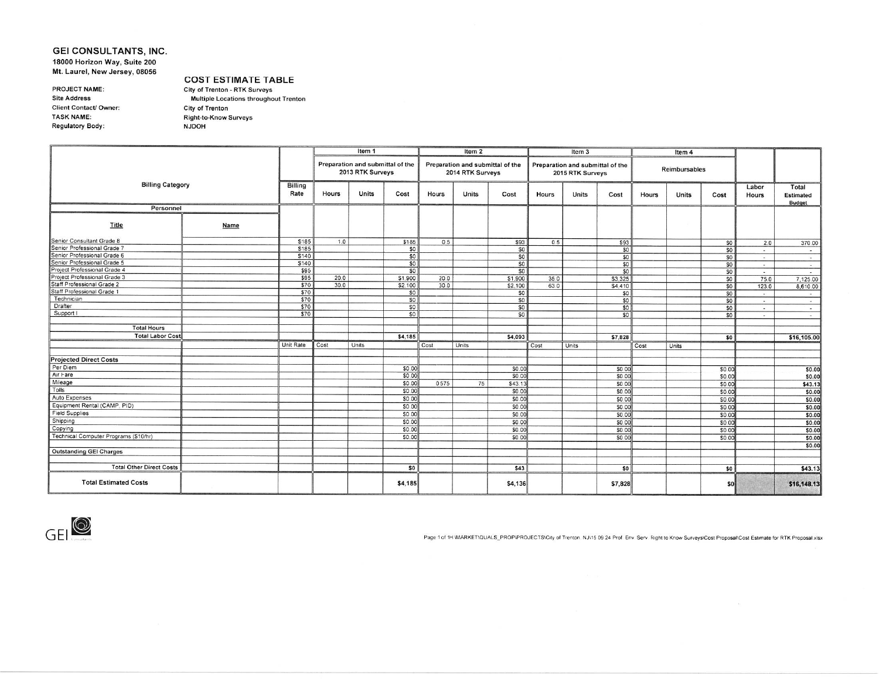### GEI CONSULTANTS, INC. 18000 Horizon Way, Suite 200 Mt. Laurel, New Jersey, 08056

PROJECT NAME: **Site Address** Client Contact/ Owner: **TASK NAME: Regulatory Body:** 

**COST ESTIMATE TABLE** City of Trenton - RTK Surveys Multiple Locations throughout Trenton City of Trenton Right-to-Know Surveys **NJDOH** 

|                                       |      |                 |       | Item 1                                               |                |       | Item 2           |                                  |       | Item 3                                               |                |       | Item 4        |                 |                          |                                            |
|---------------------------------------|------|-----------------|-------|------------------------------------------------------|----------------|-------|------------------|----------------------------------|-------|------------------------------------------------------|----------------|-------|---------------|-----------------|--------------------------|--------------------------------------------|
|                                       |      |                 |       | Preparation and submittal of the<br>2013 RTK Surveys |                |       | 2014 RTK Surveys | Preparation and submittal of the |       | Preparation and submittal of the<br>2015 RTK Surveys |                |       | Reimbursables |                 |                          |                                            |
| <b>Billing Category</b>               |      | Billing<br>Rate | Hours | <b>Units</b>                                         | Cost           | Hours | <b>Units</b>     | Cost                             | Hours | Units                                                | Cost           | Hours | Units         | Cost            | Labor<br><b>Hours</b>    | Total<br><b>Estimated</b><br><b>Budget</b> |
| Personnel                             |      |                 |       |                                                      |                |       |                  |                                  |       |                                                      |                |       |               |                 |                          |                                            |
| Title                                 | Name |                 |       |                                                      |                |       |                  |                                  |       |                                                      |                |       |               |                 |                          |                                            |
| Senior Consultant Grade 8             |      | \$185           | 1.0   |                                                      | \$185          | 0.5   |                  | \$93                             | 0.5   |                                                      | \$93           |       |               | 50              | 2.0                      | 370.00                                     |
| Senior Professional Grade 7           |      | \$185           |       |                                                      | \$0            |       |                  | SO                               |       |                                                      | 50             |       |               | SO              | $\sim$                   | $\sim$                                     |
| Senior Professional Grade 6           |      | \$140           |       |                                                      | \$0            |       |                  | SO                               |       |                                                      | \$0            |       |               | \$0             | $\overline{\phantom{a}}$ | $\sim$                                     |
| Senior Professional Grade 5           |      | \$140           |       |                                                      | \$0            |       |                  | SO                               |       |                                                      | \$0            |       |               | \$0             | $\sim$                   | $\sim$                                     |
| Project Professional Grade 4          |      | \$95            |       |                                                      | 50             |       |                  | \$0                              |       |                                                      | 50             |       |               | \$0             | <b>THE</b>               | $\sim$                                     |
| Project Professional Grade 3          |      | \$95            | 20.0  |                                                      | \$1,900        | 20.0  |                  | \$1,900                          | 35.0  |                                                      | \$3,325        |       |               | SO              | 75.0                     | 7,125.00                                   |
| Staff Professional Grade 2            |      | \$70            | 30.0  |                                                      | \$2,100        | 30.0  |                  | \$2,100                          | 63.0  |                                                      | \$4,410        |       |               | SO              | 123.0                    | 8,610.00                                   |
| Staff Professional Grade 1            |      | \$70            |       |                                                      | S <sub>0</sub> |       |                  | \$0                              |       |                                                      | S <sub>0</sub> |       |               | SO              | $\overline{a}$           | $\sim$                                     |
| Technician                            |      | \$70            |       |                                                      | 50             |       |                  | \$0                              |       |                                                      | SO             |       |               | SO <sub>2</sub> | $\sim$                   | $\sim$                                     |
| Drafter                               |      | \$70            |       |                                                      | SO             |       |                  | S <sub>0</sub>                   |       |                                                      | SO             |       |               | SO              | $\sim$                   | $\sim$                                     |
| Support I                             |      | \$70            |       |                                                      | S <sub>0</sub> |       |                  | SO                               |       |                                                      | SO             |       |               | SO              | $\overline{\phantom{a}}$ | $\sim$                                     |
|                                       |      |                 |       |                                                      |                |       |                  |                                  |       |                                                      |                |       |               |                 |                          |                                            |
| <b>Total Hours</b>                    |      |                 |       |                                                      |                |       |                  |                                  |       |                                                      |                |       |               |                 |                          |                                            |
| <b>Total Labor Cost</b>               |      |                 |       |                                                      | \$4,185        |       |                  | \$4,093                          |       |                                                      | \$7,828        |       |               | \$0             |                          | \$16,105.00                                |
|                                       |      | Unit Rate       | Cost  | Units                                                |                | Cost  | Units            |                                  | Cost  | Units                                                |                | Cost  | Units         |                 |                          |                                            |
| <b>Projected Direct Costs</b>         |      |                 |       |                                                      |                |       |                  |                                  |       |                                                      |                |       |               |                 |                          |                                            |
| Per Diem                              |      |                 |       |                                                      | \$0.00         |       |                  | S0.00                            |       |                                                      | \$0.00         |       |               | \$0.00          |                          | \$0.00                                     |
| Air Fare                              |      |                 |       |                                                      | \$0.00         |       |                  | \$0.00                           |       |                                                      | \$0.00         |       |               | \$0.00          |                          | \$0.00                                     |
| Mileage                               |      |                 |       |                                                      | S0.00          | 0.575 | 75               | \$43.13                          |       |                                                      | \$0.00         |       |               | \$0.00          |                          | \$43.13                                    |
| Tolls                                 |      |                 |       |                                                      | \$0.00         |       |                  | S0.00                            |       |                                                      | \$0.00         |       |               | \$0.00          |                          | \$0.00                                     |
| Auto Expenses                         |      |                 |       |                                                      | \$0.00         |       |                  | \$0.00                           |       |                                                      | \$0.00         |       |               | \$0.00          |                          | \$0.00                                     |
| Equipment Rental (CAMP, PID)          |      |                 |       |                                                      | \$0.00         |       |                  | \$0.00                           |       |                                                      | \$0.00         |       |               | \$0.00          |                          | \$0.00                                     |
| <b>Field Supplies</b>                 |      |                 |       |                                                      | SO.00          |       |                  | SO.00                            |       |                                                      | \$0.00         |       |               | \$0.00          |                          | \$0.00                                     |
| Shipping                              |      |                 |       |                                                      | \$0.00         |       |                  | <b>SO.00</b>                     |       |                                                      | \$0.00         |       |               | \$0.00          |                          | \$0.00                                     |
| Copying                               |      |                 |       |                                                      | \$0.00         |       |                  | \$0.00                           |       |                                                      | \$0.00         |       |               | \$0.00          |                          | \$0.00                                     |
| Technical Computer Programs (\$10/hr) |      |                 |       |                                                      | \$0.00         |       |                  | <b>SO.00</b>                     |       |                                                      | \$0.00         |       |               | S0.00           |                          | \$0.00                                     |
|                                       |      |                 |       |                                                      |                |       |                  |                                  |       |                                                      |                |       |               |                 |                          | \$0.00                                     |
| <b>Outstanding GEI Charges</b>        |      |                 |       |                                                      |                |       |                  |                                  |       |                                                      |                |       |               |                 |                          |                                            |
|                                       |      |                 |       |                                                      |                |       |                  |                                  |       |                                                      |                |       |               |                 |                          |                                            |
| <b>Total Other Direct Costs</b>       |      |                 |       |                                                      | \$0            |       |                  | \$43                             |       |                                                      | \$0            |       |               | \$0             |                          | \$43.13                                    |
| <b>Total Estimated Costs</b>          |      |                 |       |                                                      | \$4,185        |       |                  | \$4,136                          |       |                                                      | \$7,828        |       |               | \$0             |                          | \$16,148.13                                |



Page 1 of 1H WARKET\QUALS\_PROP\PROJECTS\City of Trenton, NJ\15 09 24 Prof. Env. Serv. Right to Know Surveys\Cost Proposal\Cost Estimate for RTK Proposal xlsx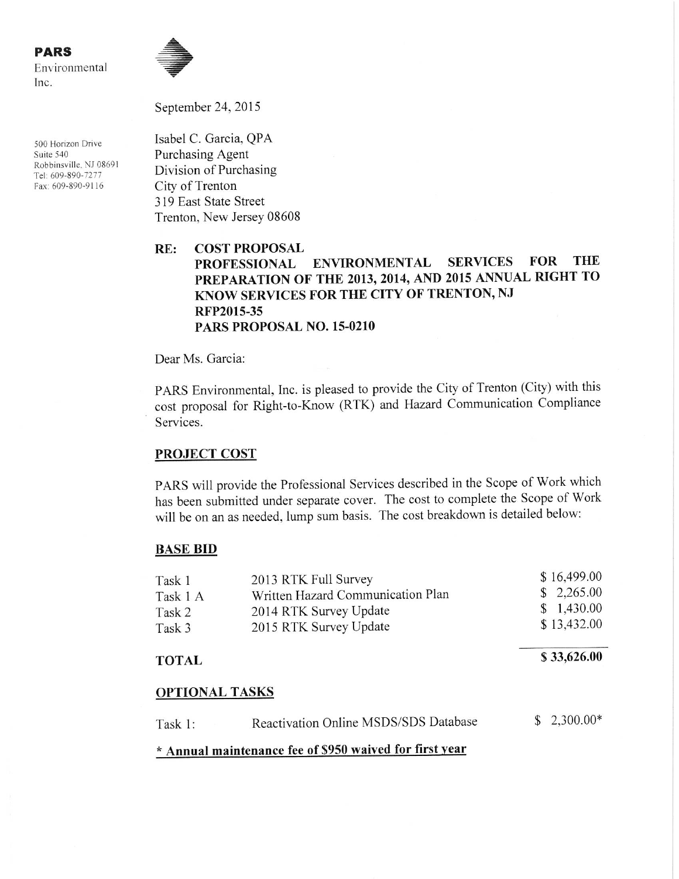500 Horizon Drive Suite 540 Robbinsville, NJ 08691 Tel: 609-890-7277 Fax: 609-890-9116



September 24, 2015

Isabel C. Garcia, QPA Purchasing Agent Division of Purchasing City of Trenton 319 East State Street Trenton, New Jersey 08608

#### RE: **COST PROPOSAL ENVIRONMENTAL FOR THE SERVICES PROFESSIONAL** PREPARATION OF THE 2013, 2014, AND 2015 ANNUAL RIGHT TO KNOW SERVICES FOR THE CITY OF TRENTON, NJ RFP2015-35 PARS PROPOSAL NO. 15-0210

Dear Ms. Garcia:

PARS Environmental, Inc. is pleased to provide the City of Trenton (City) with this cost proposal for Right-to-Know (RTK) and Hazard Communication Compliance Services.

# **PROJECT COST**

PARS will provide the Professional Services described in the Scope of Work which has been submitted under separate cover. The cost to complete the Scope of Work will be on an as needed, lump sum basis. The cost breakdown is detailed below:

# **BASE BID**

| Task 1   | 2013 RTK Full Survey              | \$16,499.00 |
|----------|-----------------------------------|-------------|
| Task 1 A | Written Hazard Communication Plan | \$2,265.00  |
| Task 2   | 2014 RTK Survey Update            | \$1,430.00  |
| Task 3   | 2015 RTK Survey Update            | \$13,432.00 |
|          |                                   |             |

## **TOTAL**

\$33,626.00

# **OPTIONAL TASKS**

| Task 1: | <b>Reactivation Online MSDS/SDS Database</b>            | $$2,300.00*$ |
|---------|---------------------------------------------------------|--------------|
|         | * Annual maintenance fee of \$950 waived for first year |              |